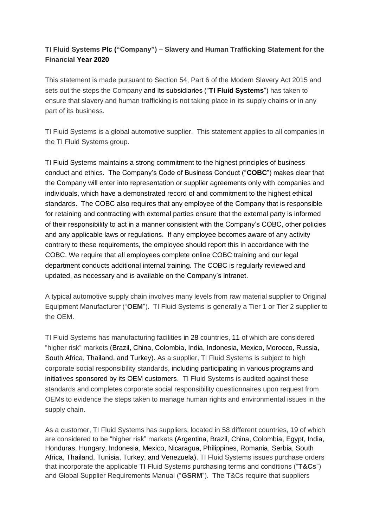## **TI Fluid Systems Plc ("Company") – Slavery and Human Trafficking Statement for the Financial Year 2020**

This statement is made pursuant to Section 54, Part 6 of the Modern Slavery Act 2015 and sets out the steps the Company and its subsidiaries ("**TI Fluid Systems**") has taken to ensure that slavery and human trafficking is not taking place in its supply chains or in any part of its business.

TI Fluid Systems is a global automotive supplier. This statement applies to all companies in the TI Fluid Systems group.

TI Fluid Systems maintains a strong commitment to the highest principles of business conduct and ethics. The Company's Code of Business Conduct ("**COBC**") makes clear that the Company will enter into representation or supplier agreements only with companies and individuals, which have a demonstrated record of and commitment to the highest ethical standards. The COBC also requires that any employee of the Company that is responsible for retaining and contracting with external parties ensure that the external party is informed of their responsibility to act in a manner consistent with the Company's COBC, other policies and any applicable laws or regulations. If any employee becomes aware of any activity contrary to these requirements, the employee should report this in accordance with the COBC. We require that all employees complete online COBC training and our legal department conducts additional internal training. The COBC is regularly reviewed and updated, as necessary and is available on the Company's intranet.

A typical automotive supply chain involves many levels from raw material supplier to Original Equipment Manufacturer ("**OEM**"). TI Fluid Systems is generally a Tier 1 or Tier 2 supplier to the OEM.

TI Fluid Systems has manufacturing facilities in 28 countries, 11 of which are considered "higher risk" markets (Brazil, China, Colombia, India, Indonesia, Mexico, Morocco, Russia, South Africa, Thailand, and Turkey). As a supplier, TI Fluid Systems is subject to high corporate social responsibility standards, including participating in various programs and initiatives sponsored by its OEM customers. TI Fluid Systems is audited against these standards and completes corporate social responsibility questionnaires upon request from OEMs to evidence the steps taken to manage human rights and environmental issues in the supply chain.

As a customer, TI Fluid Systems has suppliers, located in 58 different countries, 19 of which are considered to be "higher risk" markets (Argentina, Brazil, China, Colombia, Egypt, India, Honduras, Hungary, Indonesia, Mexico, Nicaragua, Philippines, Romania, Serbia, South Africa, Thailand, Tunisia, Turkey, and Venezuela). TI Fluid Systems issues purchase orders that incorporate the applicable TI Fluid Systems purchasing terms and conditions ("**T&Cs**") and Global Supplier Requirements Manual ("**GSRM**"). The T&Cs require that suppliers